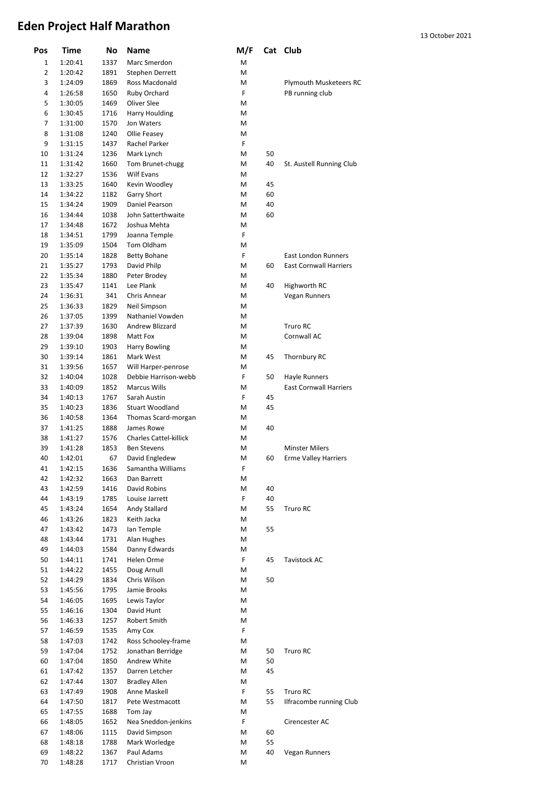| Pos            | <b>Time</b> | No   | Name                          | M/F |    | Cat Club                      |
|----------------|-------------|------|-------------------------------|-----|----|-------------------------------|
| 1              | 1:20:41     | 1337 | Marc Smerdon                  | M   |    |                               |
| $\overline{2}$ | 1:20:42     | 1891 | Stephen Derrett               | M   |    |                               |
| 3              | 1:24:09     | 1869 | Ross Macdonald                | M   |    | Plymouth Musketeers RC        |
| 4              | 1:26:58     | 1650 | Ruby Orchard                  | F   |    | PB running club               |
| 5              | 1:30:05     | 1469 | Oliver Slee                   | M   |    |                               |
| 6              | 1:30:45     | 1716 | Harry Houlding                | Μ   |    |                               |
| 7              | 1:31:00     | 1570 | Jon Waters                    | М   |    |                               |
| 8              | 1:31:08     | 1240 | Ollie Feasey                  | M   |    |                               |
| 9              | 1:31:15     | 1437 | Rachel Parker                 | F   |    |                               |
| 10             | 1:31:24     | 1236 | Mark Lynch                    | Μ   | 50 |                               |
| 11             | 1:31:42     | 1660 | Tom Brunet-chugg              | Μ   | 40 | St. Austell Running Club      |
| 12             | 1:32:27     | 1536 | <b>Wilf Evans</b>             | М   |    |                               |
| 13             | 1:33:25     | 1640 | Kevin Woodley                 | M   | 45 |                               |
| 14             | 1:34:22     | 1182 | <b>Garry Short</b>            | М   | 60 |                               |
| 15             | 1:34:24     | 1909 | Daniel Pearson                | M   | 40 |                               |
| 16             | 1:34:44     | 1038 | John Satterthwaite            | Μ   | 60 |                               |
| 17             | 1:34:48     | 1672 | Joshua Mehta                  | М   |    |                               |
| 18             | 1:34:51     | 1799 | Joanna Temple                 | F   |    |                               |
| 19             | 1:35:09     | 1504 | Tom Oldham                    | М   |    |                               |
| 20             | 1:35:14     | 1828 | <b>Betty Bohane</b>           | F   |    | <b>East London Runners</b>    |
| 21             | 1:35:27     | 1793 | David Philp                   | Μ   | 60 | <b>East Cornwall Harriers</b> |
| 22             | 1:35:34     | 1880 | Peter Brodey                  | M   |    |                               |
| 23             | 1:35:47     | 1141 | Lee Plank                     | M   | 40 | Highworth RC                  |
| 24             | 1:36:31     | 341  | Chris Annear                  | M   |    | Vegan Runners                 |
| 25             | 1:36:33     | 1829 | Neil Simpson                  | M   |    |                               |
| 26             |             |      | Nathaniel Vowden              |     |    |                               |
| 27             | 1:37:05     | 1399 | Andrew Blizzard               | Μ   |    |                               |
|                | 1:37:39     | 1630 |                               | М   |    | Truro RC                      |
| 28             | 1:39:04     | 1898 | Matt Fox                      | М   |    | Cornwall AC                   |
| 29             | 1:39:10     | 1903 | <b>Harry Bowling</b>          | М   |    |                               |
| 30             | 1:39:14     | 1861 | Mark West                     | M   | 45 | Thornbury RC                  |
| 31             | 1:39:56     | 1657 | Will Harper-penrose           | М   |    |                               |
| 32             | 1:40:04     | 1028 | Debbie Harrison-webb          | F   | 50 | Hayle Runners                 |
| 33             | 1:40:09     | 1852 | <b>Marcus Wills</b>           | M   |    | <b>East Cornwall Harriers</b> |
| 34             | 1:40:13     | 1767 | Sarah Austin                  | F   | 45 |                               |
| 35             | 1:40:23     | 1836 | <b>Stuart Woodland</b>        | M   | 45 |                               |
| 36             | 1:40:58     | 1364 | Thomas Scard-morgan           | М   |    |                               |
| 37             | 1:41:25     | 1888 | James Rowe                    | М   | 40 |                               |
| 38             | 1:41:27     | 1576 | <b>Charles Cattel-killick</b> | М   |    |                               |
| 39             | 1:41:28     | 1853 | <b>Ben Stevens</b>            | Μ   |    | <b>Minster Milers</b>         |
| 40             | 1:42:01     | 67   | David Engledew                | M   | 60 | <b>Erme Valley Harriers</b>   |
| 41             | 1:42:15     | 1636 | Samantha Williams             | F   |    |                               |
| 42             | 1:42:32     | 1663 | Dan Barrett                   | М   |    |                               |
| 43             | 1:42:59     | 1416 | David Robins                  | М   | 40 |                               |
| 44             | 1:43:19     | 1785 | Louise Jarrett                | F   | 40 |                               |
| 45             | 1:43:24     | 1654 | Andy Stallard                 | М   | 55 | Truro RC                      |
| 46             | 1:43:26     | 1823 | Keith Jacka                   | М   |    |                               |
| 47             | 1:43:42     | 1473 | Ian Temple                    | М   | 55 |                               |
| 48             | 1:43:44     | 1731 | Alan Hughes                   | М   |    |                               |
| 49             | 1:44:03     | 1584 | Danny Edwards                 | М   |    |                               |
| 50             | 1:44:11     | 1741 | Helen Orme                    | F   | 45 | Tavistock AC                  |
| 51             | 1:44:22     | 1455 | Doug Arnull                   | М   |    |                               |
| 52             | 1:44:29     | 1834 | Chris Wilson                  | М   | 50 |                               |
| 53             | 1:45:56     | 1795 | Jamie Brooks                  | М   |    |                               |
| 54             | 1:46:05     | 1695 | Lewis Taylor                  | М   |    |                               |
| 55             | 1:46:16     | 1304 | David Hunt                    | М   |    |                               |
| 56             | 1:46:33     | 1257 | Robert Smith                  | М   |    |                               |
| 57             | 1:46:59     | 1535 | Amy Cox                       | F   |    |                               |
| 58             | 1:47:03     | 1742 | Ross Schooley-frame           | М   |    |                               |
| 59             | 1:47:04     | 1752 | Jonathan Berridge             | М   | 50 | Truro RC                      |
| 60             | 1:47:04     | 1850 | Andrew White                  | М   | 50 |                               |
| 61             | 1:47:42     | 1357 | Darren Letcher                | М   | 45 |                               |
| 62             | 1:47:44     | 1307 | <b>Bradley Allen</b>          | М   |    |                               |
| 63             | 1:47:49     | 1908 | Anne Maskell                  | F   | 55 | Truro RC                      |
| 64             | 1:47:50     | 1817 | Pete Westmacott               | М   | 55 | Ilfracombe running Club       |
| 65             | 1:47:55     | 1688 | Tom Jay                       | М   |    |                               |
| 66             | 1:48:05     | 1652 | Nea Sneddon-jenkins           | F   |    | Cirencester AC                |
| 67             | 1:48:06     | 1115 | David Simpson                 | М   | 60 |                               |
| 68             | 1:48:18     | 1788 | Mark Worledge                 | М   | 55 |                               |
| 69             | 1:48:22     | 1367 | Paul Adams                    | М   | 40 | Vegan Runners                 |
| 70             | 1:48:28     | 1717 | Christian Vroon               | М   |    |                               |
|                |             |      |                               |     |    |                               |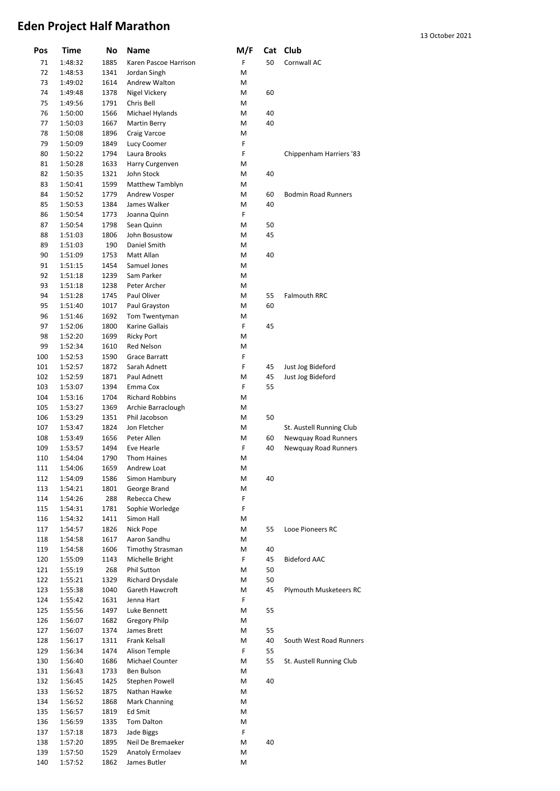| Pos        | Time               | No           | Name                               | M/F    |          | Cat Club                               |
|------------|--------------------|--------------|------------------------------------|--------|----------|----------------------------------------|
| 71         | 1:48:32            | 1885         | Karen Pascoe Harrison              | F      | 50       | Cornwall AC                            |
| 72         | 1:48:53            | 1341         | Jordan Singh                       | M      |          |                                        |
| 73         | 1:49:02            | 1614         | Andrew Walton                      | М      |          |                                        |
| 74         | 1:49:48            | 1378         | Nigel Vickery                      | M      | 60       |                                        |
| 75         | 1:49:56            | 1791         | Chris Bell                         | М      |          |                                        |
| 76         | 1:50:00            | 1566         | Michael Hylands                    | М      | 40       |                                        |
| 77         | 1:50:03            | 1667         | <b>Martin Berry</b>                | М      | 40       |                                        |
| 78         | 1:50:08            | 1896         | Craig Varcoe                       | М      |          |                                        |
| 79         | 1:50:09            | 1849         | Lucy Coomer                        | F      |          |                                        |
| 80         | 1:50:22            | 1794         | Laura Brooks                       | F      |          | Chippenham Harriers '83                |
| 81         | 1:50:28            | 1633         | Harry Curgenven                    | М      |          |                                        |
| 82         | 1:50:35            | 1321         | John Stock                         | М      | 40       |                                        |
| 83         | 1:50:41            | 1599         | Matthew Tamblyn                    | М      |          |                                        |
| 84         | 1:50:52            | 1779         | Andrew Vosper                      | M      | 60       | <b>Bodmin Road Runners</b>             |
| 85         | 1:50:53            | 1384         | James Walker                       | М      | 40       |                                        |
| 86         | 1:50:54            | 1773         | Joanna Quinn                       | F      |          |                                        |
| 87         | 1:50:54            | 1798         | Sean Quinn                         | M      | 50       |                                        |
| 88         | 1:51:03            | 1806         | John Bosustow                      | М      | 45       |                                        |
| 89         | 1:51:03            | 190          | Daniel Smith                       | M      |          |                                        |
| 90         | 1:51:09            | 1753         | Matt Allan                         | M      | 40       |                                        |
| 91         | 1:51:15            | 1454         | Samuel Jones                       | М      |          |                                        |
| 92         | 1:51:18            | 1239         | Sam Parker                         | M      |          |                                        |
| 93         | 1:51:18            | 1238         | Peter Archer                       | М      |          |                                        |
| 94         | 1:51:28            | 1745         | Paul Oliver                        | M      | 55       | <b>Falmouth RRC</b>                    |
| 95         | 1:51:40            | 1017         | Paul Grayston                      | M      | 60       |                                        |
| 96         | 1:51:46            | 1692         | Tom Twentyman                      | М      |          |                                        |
| 97         | 1:52:06            | 1800         | Karine Gallais                     | F      | 45       |                                        |
| 98<br>99   | 1:52:20            | 1699         | <b>Ricky Port</b>                  | М<br>M |          |                                        |
| 100        | 1:52:34            | 1610         | Red Nelson<br><b>Grace Barratt</b> | F      |          |                                        |
|            | 1:52:53            | 1590         | Sarah Adnett                       | F      |          |                                        |
| 101<br>102 | 1:52:57<br>1:52:59 | 1872<br>1871 | Paul Adnett                        | M      | 45<br>45 | Just Jog Bideford<br>Just Jog Bideford |
| 103        | 1:53:07            | 1394         | Emma Cox                           | F      | 55       |                                        |
| 104        | 1:53:16            | 1704         | <b>Richard Robbins</b>             | M      |          |                                        |
| 105        | 1:53:27            | 1369         | Archie Barraclough                 | М      |          |                                        |
| 106        | 1:53:29            | 1351         | Phil Jacobson                      | М      | 50       |                                        |
| 107        | 1:53:47            | 1824         | Jon Fletcher                       | М      |          | St. Austell Running Club               |
| 108        | 1:53:49            | 1656         | Peter Allen                        | М      | 60       | Newquay Road Runners                   |
| 109        | 1:53:57            | 1494         | Eve Hearle                         | F      | 40       | Newquay Road Runners                   |
| 110        | 1:54:04            | 1790         | <b>Thom Haines</b>                 | Μ      |          |                                        |
| 111        | 1:54:06            | 1659         | Andrew Loat                        | М      |          |                                        |
| 112        | 1:54:09            | 1586         | Simon Hambury                      | М      | 40       |                                        |
| 113        | 1:54:21            | 1801         | George Brand                       | М      |          |                                        |
| 114        | 1:54:26            | 288          | Rebecca Chew                       | F      |          |                                        |
| 115        | 1:54:31            | 1781         | Sophie Worledge                    | F      |          |                                        |
| 116        | 1:54:32            | 1411         | Simon Hall                         | М      |          |                                        |
| 117        | 1:54:57            | 1826         | Nick Pope                          | Μ      | 55       | Looe Pioneers RC                       |
| 118        | 1:54:58            | 1617         | Aaron Sandhu                       | Μ      |          |                                        |
| 119        | 1:54:58            | 1606         | <b>Timothy Strasman</b>            | М      | 40       |                                        |
| 120        | 1:55:09            | 1143         | Michelle Bright                    | F      | 45       | <b>Bideford AAC</b>                    |
| 121        | 1:55:19            | 268          | Phil Sutton                        | М      | 50       |                                        |
| 122        | 1:55:21            | 1329         | Richard Drysdale                   | М      | 50       |                                        |
| 123        | 1:55:38            | 1040         | Gareth Hawcroft                    | М      | 45       | Plymouth Musketeers RC                 |
| 124        | 1:55:42            | 1631         | Jenna Hart                         | F      |          |                                        |
| 125        | 1:55:56            | 1497         | Luke Bennett                       | М      | 55       |                                        |
| 126        | 1:56:07            | 1682         | Gregory Philp                      | Μ      |          |                                        |
| 127        | 1:56:07            | 1374         | James Brett                        | Μ      | 55       |                                        |
| 128        | 1:56:17            | 1311         | Frank Kelsall                      | Μ      | 40       | South West Road Runners                |
| 129        | 1:56:34            | 1474         | Alison Temple                      | F      | 55       |                                        |
| 130        | 1:56:40            | 1686         | Michael Counter                    | М      | 55       | St. Austell Running Club               |
| 131        | 1:56:43            | 1733         | Ben Bulson                         | Μ      |          |                                        |
| 132        | 1:56:45            | 1425         | Stephen Powell                     | Μ      | 40       |                                        |
| 133        | 1:56:52            | 1875         | Nathan Hawke                       | Μ      |          |                                        |
| 134        | 1:56:52            | 1868         | Mark Channing                      | М      |          |                                        |
| 135        | 1:56:57            | 1819         | Ed Smit                            | М      |          |                                        |
| 136        | 1:56:59            | 1335         | Tom Dalton                         | М      |          |                                        |
| 137        | 1:57:18            | 1873         | Jade Biggs                         | F      |          |                                        |
| 138        | 1:57:20            | 1895         | Neil De Bremaeker                  | М      | 40       |                                        |
| 139        | 1:57:50            | 1529         | Anatoly Ermolaev                   | М      |          |                                        |
| 140        | 1:57:52            | 1862         | James Butler                       | М      |          |                                        |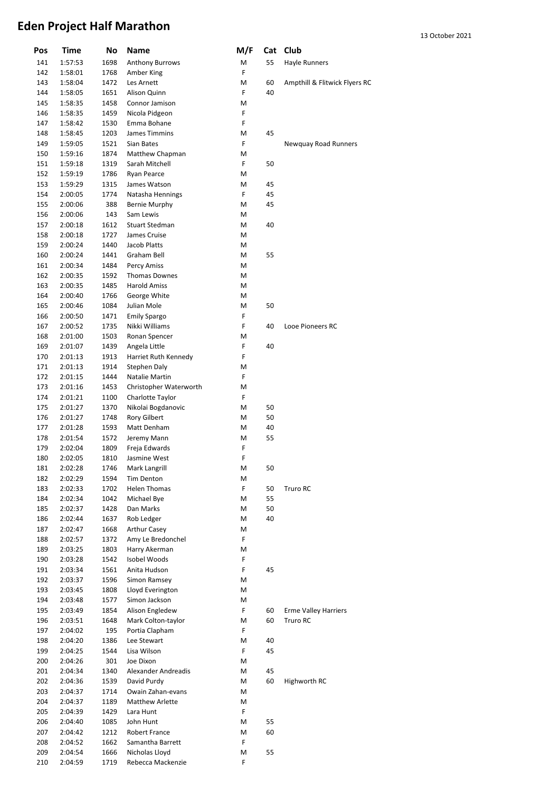| Pos        | Time               | No           | <b>Name</b>                   | M/F    |    | Cat Club                      |
|------------|--------------------|--------------|-------------------------------|--------|----|-------------------------------|
| 141        | 1:57:53            | 1698         | <b>Anthony Burrows</b>        | М      | 55 | Hayle Runners                 |
| 142        | 1:58:01            | 1768         | Amber King                    | F      |    |                               |
| 143        | 1:58:04            | 1472         | Les Arnett                    | М      | 60 | Ampthill & Flitwick Flyers RC |
| 144        | 1:58:05            | 1651         | Alison Quinn                  | F      | 40 |                               |
| 145        | 1:58:35            | 1458         | Connor Jamison                | М      |    |                               |
| 146        | 1:58:35            | 1459         | Nicola Pidgeon                | F      |    |                               |
| 147        | 1:58:42            | 1530         | Emma Bohane                   | F      |    |                               |
| 148        | 1:58:45            | 1203         | James Timmins                 | М      | 45 |                               |
| 149        | 1:59:05            | 1521         | Sian Bates                    | F      |    | Newquay Road Runners          |
| 150        | 1:59:16            | 1874         | Matthew Chapman               | М      |    |                               |
| 151        | 1:59:18            | 1319         | Sarah Mitchell                | F      | 50 |                               |
| 152        | 1:59:19            | 1786         | Ryan Pearce                   | М      |    |                               |
| 153        | 1:59:29            | 1315         | James Watson                  | М      | 45 |                               |
| 154        | 2:00:05            | 1774         | Natasha Hennings              | F      | 45 |                               |
| 155        | 2:00:06            | 388          | <b>Bernie Murphy</b>          | М      | 45 |                               |
| 156        | 2:00:06            | 143          | Sam Lewis                     | М      |    |                               |
| 157        | 2:00:18            | 1612         | <b>Stuart Stedman</b>         | M      | 40 |                               |
| 158        | 2:00:18<br>2:00:24 | 1727         | James Cruise                  | М      |    |                               |
| 159        |                    | 1440         | Jacob Platts<br>Graham Bell   | М<br>Μ |    |                               |
| 160<br>161 | 2:00:24<br>2:00:34 | 1441<br>1484 | Percy Amiss                   | Μ      | 55 |                               |
| 162        | 2:00:35            | 1592         | <b>Thomas Downes</b>          | M      |    |                               |
| 163        | 2:00:35            | 1485         | <b>Harold Amiss</b>           | М      |    |                               |
| 164        | 2:00:40            | 1766         | George White                  | М      |    |                               |
| 165        | 2:00:46            | 1084         | Julian Mole                   | М      | 50 |                               |
| 166        | 2:00:50            | 1471         | <b>Emily Spargo</b>           | F      |    |                               |
| 167        | 2:00:52            | 1735         | Nikki Williams                | F      | 40 | Looe Pioneers RC              |
| 168        | 2:01:00            | 1503         | Ronan Spencer                 | М      |    |                               |
| 169        | 2:01:07            | 1439         | Angela Little                 | F      | 40 |                               |
| 170        | 2:01:13            | 1913         | Harriet Ruth Kennedy          | F      |    |                               |
| 171        | 2:01:13            | 1914         | Stephen Daly                  | М      |    |                               |
| 172        | 2:01:15            | 1444         | Natalie Martin                | F      |    |                               |
| 173        | 2:01:16            | 1453         | Christopher Waterworth        | М      |    |                               |
| 174        | 2:01:21            | 1100         | Charlotte Taylor              | F      |    |                               |
| 175        | 2:01:27            | 1370         | Nikolai Bogdanovic            | М      | 50 |                               |
| 176        | 2:01:27            | 1748         | <b>Rory Gilbert</b>           | М      | 50 |                               |
| 177        | 2:01:28            | 1593         | Matt Denham                   | М      | 40 |                               |
| 178        | 2:01:54            | 1572         | Jeremy Mann                   | М      | 55 |                               |
| 179        | 2:02:04            | 1809         | Freja Edwards                 | F      |    |                               |
| 180        | 2:02:05            | 1810         | Jasmine West                  | F      |    |                               |
| 181        | 2:02:28            | 1746         | Mark Langrill                 | М      | 50 |                               |
| 182        | 2:02:29            | 1594         | Tim Denton                    | М      |    |                               |
| 183        | 2:02:33            | 1702         | Helen Thomas                  | F      | 50 | Truro RC                      |
| 184        | 2:02:34            | 1042         | Michael Bye                   | М      | 55 |                               |
| 185        | 2:02:37            | 1428         | Dan Marks                     | М      | 50 |                               |
| 186        | 2:02:44            | 1637         | Rob Ledger                    | М      | 40 |                               |
| 187        | 2:02:47            | 1668         | <b>Arthur Casey</b>           | М      |    |                               |
| 188        | 2:02:57            | 1372         | Amy Le Bredonchel             | F      |    |                               |
| 189        | 2:03:25<br>2:03:28 | 1803<br>1542 | Harry Akerman<br>Isobel Woods | М<br>F |    |                               |
| 190<br>191 | 2:03:34            | 1561         | Anita Hudson                  | F      | 45 |                               |
| 192        | 2:03:37            | 1596         | Simon Ramsey                  | М      |    |                               |
| 193        | 2:03:45            | 1808         | Lloyd Everington              | М      |    |                               |
| 194        | 2:03:48            | 1577         | Simon Jackson                 | М      |    |                               |
| 195        | 2:03:49            | 1854         | Alison Engledew               | F      | 60 | <b>Erme Valley Harriers</b>   |
| 196        | 2:03:51            | 1648         | Mark Colton-taylor            | М      | 60 | Truro RC                      |
| 197        | 2:04:02            | 195          | Portia Clapham                | F      |    |                               |
| 198        | 2:04:20            | 1386         | Lee Stewart                   | М      | 40 |                               |
| 199        | 2:04:25            | 1544         | Lisa Wilson                   | F      | 45 |                               |
| 200        | 2:04:26            | 301          | Joe Dixon                     | М      |    |                               |
| 201        | 2:04:34            | 1340         | Alexander Andreadis           | М      | 45 |                               |
| 202        | 2:04:36            | 1539         | David Purdy                   | М      | 60 | Highworth RC                  |
| 203        | 2:04:37            | 1714         | Owain Zahan-evans             | М      |    |                               |
| 204        | 2:04:37            | 1189         | <b>Matthew Arlette</b>        | М      |    |                               |
| 205        | 2:04:39            | 1429         | Lara Hunt                     | F      |    |                               |
| 206        | 2:04:40            | 1085         | John Hunt                     | М      | 55 |                               |
| 207        | 2:04:42            | 1212         | <b>Robert France</b>          | М      | 60 |                               |
| 208        | 2:04:52            | 1662         | Samantha Barrett              | F      |    |                               |
| 209        | 2:04:54            | 1666         | Nicholas Lloyd                | М      | 55 |                               |
| 210        | 2:04:59            | 1719         | Rebecca Mackenzie             | F      |    |                               |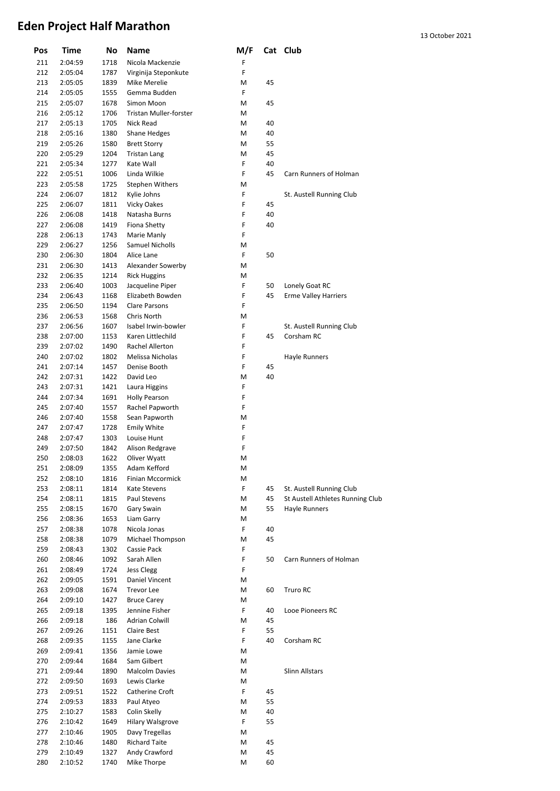| Pos        | Time               | No           | Name                             | M/F    |    | Cat Club                         |
|------------|--------------------|--------------|----------------------------------|--------|----|----------------------------------|
| 211        | 2:04:59            | 1718         | Nicola Mackenzie                 | F      |    |                                  |
| 212        | 2:05:04            | 1787         | Virginija Steponkute             | F      |    |                                  |
| 213        | 2:05:05            | 1839         | Mike Merelie                     | M      | 45 |                                  |
| 214        | 2:05:05            | 1555         | Gemma Budden                     | F      |    |                                  |
| 215        | 2:05:07            | 1678         | Simon Moon                       | M      | 45 |                                  |
| 216        | 2:05:12            | 1706         | Tristan Muller-forster           | M      |    |                                  |
| 217        | 2:05:13            | 1705         | Nick Read                        | М      | 40 |                                  |
| 218        | 2:05:16            | 1380         | <b>Shane Hedges</b>              | М      | 40 |                                  |
| 219        | 2:05:26            | 1580         | <b>Brett Storry</b>              | М      | 55 |                                  |
| 220        | 2:05:29            | 1204         | <b>Tristan Lang</b>              | M      | 45 |                                  |
| 221        | 2:05:34            | 1277         | Kate Wall                        | F      | 40 |                                  |
| 222        | 2:05:51            | 1006         | Linda Wilkie                     | F      | 45 | Carn Runners of Holman           |
| 223        | 2:05:58            | 1725         | <b>Stephen Withers</b>           | M      |    |                                  |
| 224        | 2:06:07            | 1812         | Kylie Johns                      | F      |    | St. Austell Running Club         |
| 225        | 2:06:07            | 1811         | <b>Vicky Oakes</b>               | F      | 45 |                                  |
| 226        | 2:06:08            | 1418         | Natasha Burns                    | F      | 40 |                                  |
| 227        | 2:06:08            | 1419         | <b>Fiona Shetty</b>              | F      | 40 |                                  |
| 228        | 2:06:13            | 1743         | Marie Manly                      | F      |    |                                  |
| 229        | 2:06:27            | 1256         | <b>Samuel Nicholls</b>           | M      |    |                                  |
| 230        | 2:06:30            | 1804         | Alice Lane                       | F      | 50 |                                  |
| 231        | 2:06:30            | 1413         | Alexander Sowerby                | M      |    |                                  |
| 232        | 2:06:35            | 1214         | <b>Rick Huggins</b>              | М      |    |                                  |
| 233        | 2:06:40            | 1003         | Jacqueline Piper                 | F      | 50 | Lonely Goat RC                   |
| 234        | 2:06:43            | 1168         | Elizabeth Bowden                 | F      | 45 | <b>Erme Valley Harriers</b>      |
| 235        | 2:06:50            | 1194         | <b>Clare Parsons</b>             | F      |    |                                  |
| 236        | 2:06:53            | 1568         | Chris North                      | M      |    |                                  |
| 237        | 2:06:56            | 1607         | Isabel Irwin-bowler              | F      |    | St. Austell Running Club         |
| 238        | 2:07:00            | 1153         | Karen Littlechild                | F      | 45 | Corsham RC                       |
| 239        | 2:07:02            | 1490         | Rachel Allerton                  | F      |    |                                  |
| 240        | 2:07:02            | 1802         | Melissa Nicholas                 | F      |    | Hayle Runners                    |
| 241        | 2:07:14            | 1457         | Denise Booth                     | F      | 45 |                                  |
| 242        | 2:07:31            | 1422         | David Leo                        | M      | 40 |                                  |
| 243        | 2:07:31            | 1421         | Laura Higgins                    | F      |    |                                  |
| 244        | 2:07:34            | 1691         | <b>Holly Pearson</b>             | F      |    |                                  |
| 245        | 2:07:40            | 1557         | Rachel Papworth                  | F      |    |                                  |
| 246        | 2:07:40            | 1558         | Sean Papworth                    | M      |    |                                  |
| 247        | 2:07:47            | 1728         | <b>Emily White</b>               | F      |    |                                  |
| 248        | 2:07:47            | 1303         | Louise Hunt                      | F      |    |                                  |
| 249        | 2:07:50            | 1842<br>1622 | Alison Redgrave                  | F      |    |                                  |
| 250        | 2:08:03            |              | Oliver Wyatt                     | M      |    |                                  |
| 251        | 2:08:09            | 1355         | Adam Kefford                     | M      |    |                                  |
| 252<br>253 | 2:08:10<br>2:08:11 | 1816<br>1814 | Finian Mccormick<br>Kate Stevens | М<br>F | 45 | St. Austell Running Club         |
| 254        | 2:08:11            | 1815         | Paul Stevens                     | M      | 45 | St Austell Athletes Running Club |
| 255        | 2:08:15            | 1670         | Gary Swain                       | Μ      | 55 | Hayle Runners                    |
| 256        | 2:08:36            | 1653         | Liam Garry                       | Μ      |    |                                  |
| 257        | 2:08:38            | 1078         | Nicola Jonas                     | F      | 40 |                                  |
| 258        | 2:08:38            | 1079         | Michael Thompson                 | M      | 45 |                                  |
| 259        | 2:08:43            | 1302         | Cassie Pack                      | F      |    |                                  |
| 260        | 2:08:46            | 1092         | Sarah Allen                      | F      | 50 | Carn Runners of Holman           |
| 261        | 2:08:49            | 1724         | <b>Jess Clegg</b>                | F      |    |                                  |
| 262        | 2:09:05            | 1591         | Daniel Vincent                   | М      |    |                                  |
| 263        | 2:09:08            | 1674         | <b>Trevor Lee</b>                | М      | 60 | Truro RC                         |
| 264        | 2:09:10            | 1427         | <b>Bruce Carey</b>               | М      |    |                                  |
| 265        | 2:09:18            | 1395         | Jennine Fisher                   | F      | 40 | Looe Pioneers RC                 |
| 266        | 2:09:18            | 186          | <b>Adrian Colwill</b>            | M      | 45 |                                  |
| 267        | 2:09:26            | 1151         | Claire Best                      | F      | 55 |                                  |
| 268        | 2:09:35            | 1155         | Jane Clarke                      | F      | 40 | Corsham RC                       |
| 269        | 2:09:41            | 1356         | Jamie Lowe                       | М      |    |                                  |
| 270        | 2:09:44            | 1684         | Sam Gilbert                      | М      |    |                                  |
| 271        | 2:09:44            | 1890         | <b>Malcolm Davies</b>            | м      |    | Slinn Allstars                   |
| 272        | 2:09:50            | 1693         | Lewis Clarke                     | М      |    |                                  |
| 273        | 2:09:51            | 1522         | Catherine Croft                  | F      | 45 |                                  |
| 274        | 2:09:53            | 1833         | Paul Atyeo                       | М      | 55 |                                  |
| 275        | 2:10:27            | 1583         | Colin Skelly                     | M      | 40 |                                  |
| 276        | 2:10:42            | 1649         | <b>Hilary Walsgrove</b>          | F      | 55 |                                  |
| 277        | 2:10:46            | 1905         | Davy Tregellas                   | Μ      |    |                                  |
| 278        | 2:10:46            | 1480         | <b>Richard Taite</b>             | М      | 45 |                                  |
| 279        | 2:10:49            | 1327         | Andy Crawford                    | M      | 45 |                                  |
| 280        | 2:10:52            | 1740         | Mike Thorpe                      | M      | 60 |                                  |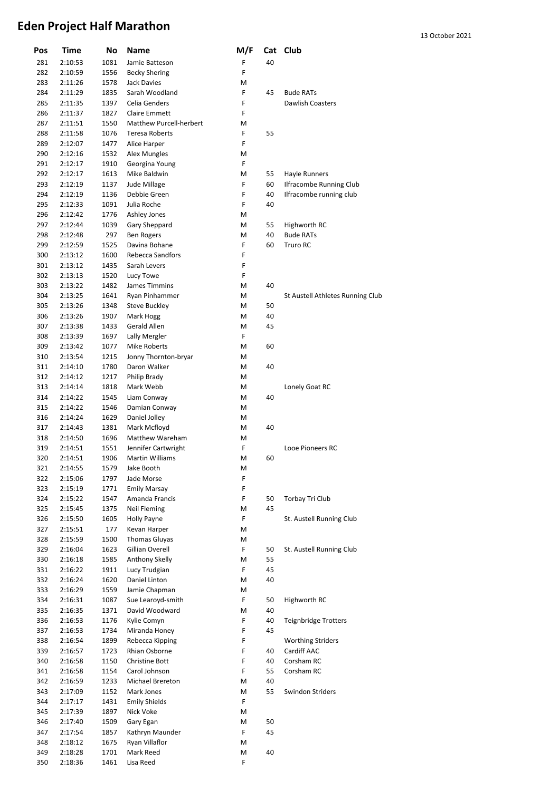| Pos        | Time               | No           | Name                             | M/F    |          | Cat Club                         |
|------------|--------------------|--------------|----------------------------------|--------|----------|----------------------------------|
| 281        | 2:10:53            | 1081         | Jamie Batteson                   | F      | 40       |                                  |
| 282        | 2:10:59            | 1556         | <b>Becky Shering</b>             | F      |          |                                  |
| 283        | 2:11:26            | 1578         | Jack Davies                      | М      |          |                                  |
| 284        | 2:11:29            | 1835         | Sarah Woodland                   | F      | 45       | <b>Bude RATs</b>                 |
| 285        | 2:11:35            | 1397         | Celia Genders                    | F      |          | <b>Dawlish Coasters</b>          |
| 286        | 2:11:37            | 1827         | Claire Emmett                    | F      |          |                                  |
| 287        | 2:11:51            | 1550         | Matthew Purcell-herbert          | М      |          |                                  |
| 288        | 2:11:58            | 1076         | <b>Teresa Roberts</b>            | F      | 55       |                                  |
| 289        | 2:12:07            | 1477         | Alice Harper                     | F      |          |                                  |
| 290<br>291 | 2:12:16<br>2:12:17 | 1532<br>1910 | Alex Mungles                     | М<br>F |          |                                  |
| 292        | 2:12:17            | 1613         | Georgina Young<br>Mike Baldwin   | М      | 55       | Hayle Runners                    |
| 293        | 2:12:19            | 1137         | Jude Millage                     | F      | 60       | <b>Ilfracombe Running Club</b>   |
| 294        | 2:12:19            | 1136         | Debbie Green                     | F      | 40       | Ilfracombe running club          |
| 295        | 2:12:33            | 1091         | Julia Roche                      | F      | 40       |                                  |
| 296        | 2:12:42            | 1776         | Ashley Jones                     | М      |          |                                  |
| 297        | 2:12:44            | 1039         | Gary Sheppard                    | М      | 55       | Highworth RC                     |
| 298        | 2:12:48            | 297          | <b>Ben Rogers</b>                | М      | 40       | <b>Bude RATs</b>                 |
| 299        | 2:12:59            | 1525         | Davina Bohane                    | F      | 60       | Truro RC                         |
| 300        | 2:13:12            | 1600         | <b>Rebecca Sandfors</b>          | F      |          |                                  |
| 301        | 2:13:12            | 1435         | Sarah Levers                     | F      |          |                                  |
| 302        | 2:13:13            | 1520         | Lucy Towe                        | F      |          |                                  |
| 303        | 2:13:22            | 1482         | James Timmins                    | М      | 40       |                                  |
| 304        | 2:13:25            | 1641         | Ryan Pinhammer                   | М      |          | St Austell Athletes Running Club |
| 305        | 2:13:26            | 1348         | <b>Steve Buckley</b>             | М      | 50       |                                  |
| 306        | 2:13:26            | 1907         | Mark Hogg                        | М      | 40       |                                  |
| 307        | 2:13:38            | 1433         | Gerald Allen                     | М      | 45       |                                  |
| 308        | 2:13:39            | 1697         | Lally Mergler                    | F      |          |                                  |
| 309        | 2:13:42            | 1077         | Mike Roberts                     | М      | 60       |                                  |
| 310        | 2:13:54            | 1215         | Jonny Thornton-bryar             | М      |          |                                  |
| 311        | 2:14:10            | 1780         | Daron Walker                     | М      | 40       |                                  |
| 312        | 2:14:12            | 1217         | Philip Brady                     | М      |          |                                  |
| 313<br>314 | 2:14:14<br>2:14:22 | 1818         | Mark Webb                        | М<br>М | 40       | Lonely Goat RC                   |
| 315        | 2:14:22            | 1545<br>1546 | Liam Conway<br>Damian Conway     | М      |          |                                  |
| 316        | 2:14:24            | 1629         | Daniel Jolley                    | М      |          |                                  |
| 317        | 2:14:43            | 1381         | Mark Mcfloyd                     | М      | 40       |                                  |
| 318        | 2:14:50            | 1696         | <b>Matthew Wareham</b>           | М      |          |                                  |
| 319        | 2:14:51            | 1551         | Jennifer Cartwright              | F      |          | Looe Pioneers RC                 |
| 320        | 2:14:51            | 1906         | <b>Martin Williams</b>           | Μ      | 60       |                                  |
| 321        | 2:14:55            | 1579         | Jake Booth                       | M      |          |                                  |
| 322        | 2:15:06            | 1797         | Jade Morse                       | F      |          |                                  |
| 323        | 2:15:19            | 1771         | Emily Marsay                     | F      |          |                                  |
| 324        | 2:15:22            | 1547         | Amanda Francis                   | F      | 50       | Torbay Tri Club                  |
| 325        | 2:15:45            | 1375         | Neil Fleming                     | М      | 45       |                                  |
| 326        | 2:15:50            | 1605         | Holly Payne                      | F      |          | St. Austell Running Club         |
| 327        | 2:15:51            | 177          | Kevan Harper                     | М      |          |                                  |
| 328        | 2:15:59            | 1500         | <b>Thomas Gluyas</b>             | Μ      |          |                                  |
| 329        | 2:16:04            | 1623         | Gillian Overell                  | F      | 50       | St. Austell Running Club         |
| 330        | 2:16:18            | 1585         | Anthony Skelly                   | М      | 55       |                                  |
| 331        | 2:16:22            | 1911         | Lucy Trudgian                    | F      | 45       |                                  |
| 332        | 2:16:24            | 1620         | Daniel Linton                    | М      | 40       |                                  |
| 333        | 2:16:29            | 1559         | Jamie Chapman                    | М      |          |                                  |
| 334        | 2:16:31            | 1087         | Sue Learoyd-smith                | F      | 50       | Highworth RC                     |
| 335        | 2:16:35            | 1371         | David Woodward                   | М      | 40       |                                  |
| 336        | 2:16:53            | 1176         | Kylie Comyn                      | F<br>F | 40<br>45 | <b>Teignbridge Trotters</b>      |
| 337<br>338 | 2:16:53<br>2:16:54 | 1734         | Miranda Honey<br>Rebecca Kipping | F      |          | <b>Worthing Striders</b>         |
| 339        | 2:16:57            | 1899<br>1723 | Rhian Osborne                    | F      | 40       | Cardiff AAC                      |
| 340        | 2:16:58            | 1150         | <b>Christine Bott</b>            | F      | 40       | Corsham RC                       |
| 341        | 2:16:58            | 1154         | Carol Johnson                    | F      | 55       | Corsham RC                       |
| 342        | 2:16:59            | 1233         | Michael Brereton                 | М      | 40       |                                  |
| 343        | 2:17:09            | 1152         | Mark Jones                       | М      | 55       | Swindon Striders                 |
| 344        | 2:17:17            | 1431         | <b>Emily Shields</b>             | F      |          |                                  |
| 345        | 2:17:39            | 1897         | Nick Voke                        | М      |          |                                  |
| 346        | 2:17:40            | 1509         | Gary Egan                        | М      | 50       |                                  |
| 347        | 2:17:54            | 1857         | Kathryn Maunder                  | F      | 45       |                                  |
| 348        | 2:18:12            | 1675         | Ryan Villaflor                   | М      |          |                                  |
| 349        | 2:18:28            | 1701         | Mark Reed                        | М      | 40       |                                  |
| 350        | 2:18:36            | 1461         | Lisa Reed                        | F      |          |                                  |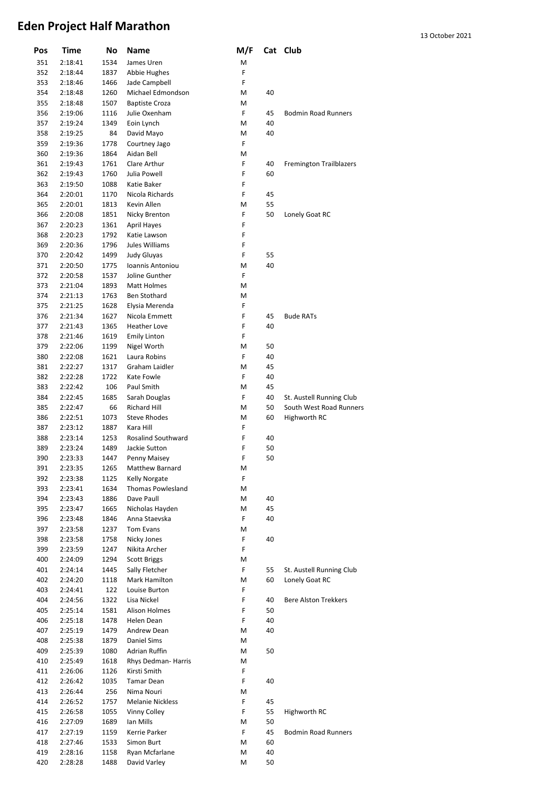| Pos        | Time               | No           | Name                           | M/F    |          | Cat Club                       |
|------------|--------------------|--------------|--------------------------------|--------|----------|--------------------------------|
| 351        | 2:18:41            | 1534         | James Uren                     | M      |          |                                |
| 352        | 2:18:44            | 1837         | Abbie Hughes                   | F      |          |                                |
| 353        | 2:18:46            | 1466         | Jade Campbell                  | F      |          |                                |
| 354        | 2:18:48            | 1260         | Michael Edmondson              | M      | 40       |                                |
| 355        | 2:18:48            | 1507         | <b>Baptiste Croza</b>          | М      |          |                                |
| 356        | 2:19:06            | 1116         | Julie Oxenham                  | F      | 45       | <b>Bodmin Road Runners</b>     |
| 357        | 2:19:24            | 1349         | Eoin Lynch                     | М      | 40       |                                |
| 358        | 2:19:25            | 84           | David Mayo                     | M      | 40       |                                |
| 359        | 2:19:36            | 1778         | Courtney Jago                  | F      |          |                                |
| 360        | 2:19:36            | 1864         | Aidan Bell                     | M      |          |                                |
| 361        | 2:19:43            | 1761         | Clare Arthur                   | F      | 40       | <b>Fremington Trailblazers</b> |
| 362        | 2:19:43            | 1760         | Julia Powell                   | F      | 60       |                                |
| 363        | 2:19:50            | 1088         | Katie Baker                    | F      |          |                                |
| 364        | 2:20:01            | 1170<br>1813 | Nicola Richards<br>Kevin Allen | F<br>M | 45<br>55 |                                |
| 365<br>366 | 2:20:01<br>2:20:08 | 1851         | Nicky Brenton                  | F      | 50       | Lonely Goat RC                 |
| 367        | 2:20:23            | 1361         | <b>April Hayes</b>             | F      |          |                                |
| 368        | 2:20:23            | 1792         | Katie Lawson                   | F      |          |                                |
| 369        | 2:20:36            | 1796         | Jules Williams                 | F      |          |                                |
| 370        | 2:20:42            | 1499         | <b>Judy Gluyas</b>             | F      | 55       |                                |
| 371        | 2:20:50            | 1775         | Ioannis Antoniou               | M      | 40       |                                |
| 372        | 2:20:58            | 1537         | Joline Gunther                 | F      |          |                                |
| 373        | 2:21:04            | 1893         | Matt Holmes                    | M      |          |                                |
| 374        | 2:21:13            | 1763         | Ben Stothard                   | M      |          |                                |
| 375        | 2:21:25            | 1628         | Elysia Merenda                 | F      |          |                                |
| 376        | 2:21:34            | 1627         | Nicola Emmett                  | F      | 45       | <b>Bude RATs</b>               |
| 377        | 2:21:43            | 1365         | <b>Heather Love</b>            | F      | 40       |                                |
| 378        | 2:21:46            | 1619         | <b>Emily Linton</b>            | F      |          |                                |
| 379        | 2:22:06            | 1199         | Nigel Worth                    | M      | 50       |                                |
| 380        | 2:22:08            | 1621         | Laura Robins                   | F      | 40       |                                |
| 381        | 2:22:27            | 1317         | Graham Laidler                 | M      | 45       |                                |
| 382        | 2:22:28            | 1722         | Kate Fowle                     | F      | 40       |                                |
| 383        | 2:22:42            | 106          | Paul Smith                     | M      | 45       |                                |
| 384        | 2:22:45            | 1685         | Sarah Douglas                  | F      | 40       | St. Austell Running Club       |
| 385        | 2:22:47            | 66           | <b>Richard Hill</b>            | M      | 50       | South West Road Runners        |
| 386        | 2:22:51            | 1073         | <b>Steve Rhodes</b>            | М      | 60       | Highworth RC                   |
| 387        | 2:23:12            | 1887         | Kara Hill                      | F      |          |                                |
| 388        | 2:23:14            | 1253         | <b>Rosalind Southward</b>      | F      | 40       |                                |
| 389        | 2:23:24            | 1489         | Jackie Sutton                  | F      | 50       |                                |
| 390        | 2:23:33            | 1447         | Penny Maisey                   | F      | 50       |                                |
| 391        | 2:23:35            | 1265         | Matthew Barnard                | М      |          |                                |
| 392        | 2:23:38            | 1125         | Kelly Norgate                  | F      |          |                                |
| 393        | 2:23:41            | 1634         | Thomas Powlesland              | Μ      |          |                                |
| 394        | 2:23:43            | 1886         | Dave Paull                     | М      | 40       |                                |
| 395        | 2:23:47            | 1665         | Nicholas Hayden                | М      | 45       |                                |
| 396        | 2:23:48            | 1846         | Anna Staevska                  | F      | 40       |                                |
| 397        | 2:23:58            | 1237         | Tom Evans                      | Μ      |          |                                |
| 398        | 2:23:58            | 1758         | Nicky Jones                    | F      | 40       |                                |
| 399        | 2:23:59            | 1247         | Nikita Archer                  | F      |          |                                |
| 400        | 2:24:09            | 1294         | <b>Scott Briggs</b>            | Μ      |          |                                |
| 401        | 2:24:14            | 1445         | Sally Fletcher                 | F      | 55       | St. Austell Running Club       |
| 402        | 2:24:20            | 1118         | Mark Hamilton<br>Louise Burton | Μ<br>F | 60       | Lonely Goat RC                 |
| 403<br>404 | 2:24:41            | 122<br>1322  | Lisa Nickel                    | F      | 40       | <b>Bere Alston Trekkers</b>    |
| 405        | 2:24:56<br>2:25:14 | 1581         | Alison Holmes                  | F      | 50       |                                |
| 406        | 2:25:18            | 1478         | Helen Dean                     | F      | 40       |                                |
| 407        | 2:25:19            | 1479         | Andrew Dean                    | М      | 40       |                                |
| 408        | 2:25:38            | 1879         | Daniel Sims                    | М      |          |                                |
| 409        | 2:25:39            | 1080         | Adrian Ruffin                  | м      | 50       |                                |
| 410        | 2:25:49            | 1618         | Rhys Dedman- Harris            | М      |          |                                |
| 411        | 2:26:06            | 1126         | Kirsti Smith                   | F      |          |                                |
| 412        | 2:26:42            | 1035         | <b>Tamar Dean</b>              | F      | 40       |                                |
| 413        | 2:26:44            | 256          | Nima Nouri                     | М      |          |                                |
| 414        | 2:26:52            | 1757         | <b>Melanie Nickless</b>        | F      | 45       |                                |
| 415        | 2:26:58            | 1055         | Vinny Colley                   | F      | 55       | Highworth RC                   |
| 416        | 2:27:09            | 1689         | Ian Mills                      | М      | 50       |                                |
| 417        |                    |              |                                |        |          |                                |
|            |                    |              |                                |        |          |                                |
|            | 2:27:19            | 1159         | Kerrie Parker<br>Simon Burt    | F      | 45       | <b>Bodmin Road Runners</b>     |
| 418<br>419 | 2:27:46<br>2:28:16 | 1533<br>1158 | Ryan Mcfarlane                 | М<br>М | 60<br>40 |                                |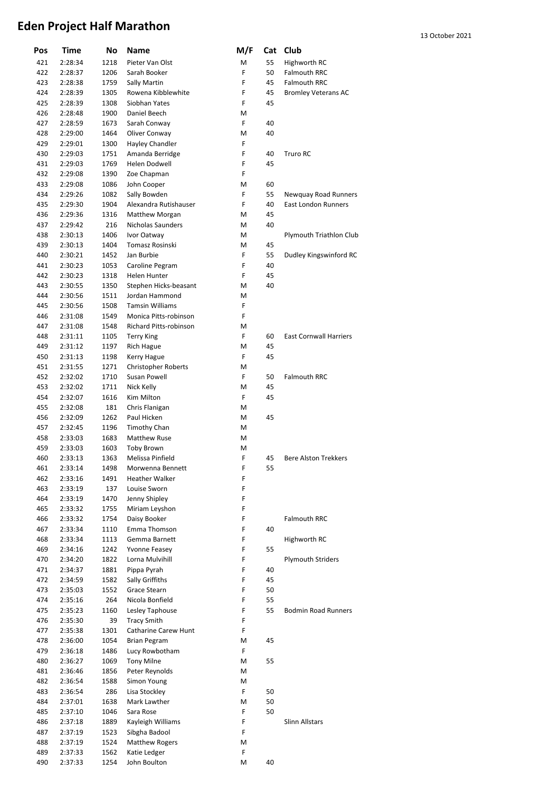| Pos        | Time               | No           | Name                                       | M/F    | Cat      | Club                          |
|------------|--------------------|--------------|--------------------------------------------|--------|----------|-------------------------------|
| 421        | 2:28:34            | 1218         | Pieter Van Olst                            | M      | 55       | Highworth RC                  |
| 422        | 2:28:37            | 1206         | Sarah Booker                               | F      | 50       | <b>Falmouth RRC</b>           |
| 423        | 2:28:38            | 1759         | Sally Martin                               | F      | 45       | <b>Falmouth RRC</b>           |
| 424        | 2:28:39            | 1305         | Rowena Kibblewhite                         | F      | 45       | <b>Bromley Veterans AC</b>    |
| 425        | 2:28:39            | 1308         | Siobhan Yates                              | F      | 45       |                               |
| 426        | 2:28:48            | 1900         | Daniel Beech                               | М      |          |                               |
| 427        | 2:28:59            | 1673         | Sarah Conway                               | F      | 40       |                               |
| 428        | 2:29:00            | 1464         | Oliver Conway                              | М      | 40       |                               |
| 429        | 2:29:01            | 1300         | Hayley Chandler                            | F      |          |                               |
| 430        | 2:29:03            | 1751         | Amanda Berridge                            | F      | 40       | <b>Truro RC</b>               |
| 431        | 2:29:03            | 1769         | Helen Dodwell                              | F      | 45       |                               |
| 432        | 2:29:08            | 1390         | Zoe Chapman                                | F      |          |                               |
| 433        | 2:29:08            | 1086         | John Cooper                                | М      | 60       |                               |
| 434        | 2:29:26            | 1082         | Sally Bowden                               | F      | 55       | Newquay Road Runners          |
| 435        | 2:29:30            | 1904         | Alexandra Rutishauser                      | F      | 40       | <b>East London Runners</b>    |
| 436<br>437 | 2:29:36<br>2:29:42 | 1316<br>216  | <b>Matthew Morgan</b><br>Nicholas Saunders | М<br>М | 45<br>40 |                               |
| 438        | 2:30:13            | 1406         | Ivor Oatway                                | М      |          | Plymouth Triathlon Club       |
| 439        | 2:30:13            | 1404         | <b>Tomasz Rosinski</b>                     | Μ      | 45       |                               |
| 440        | 2:30:21            | 1452         | Jan Burbie                                 | F      | 55       | Dudley Kingswinford RC        |
| 441        | 2:30:23            | 1053         | Caroline Pegram                            | F      | 40       |                               |
| 442        | 2:30:23            | 1318         | <b>Helen Hunter</b>                        | F      | 45       |                               |
| 443        | 2:30:55            | 1350         | Stephen Hicks-beasant                      | М      | 40       |                               |
| 444        | 2:30:56            | 1511         | Jordan Hammond                             | М      |          |                               |
| 445        | 2:30:56            | 1508         | <b>Tamsin Williams</b>                     | F      |          |                               |
| 446        | 2:31:08            | 1549         | Monica Pitts-robinson                      | F      |          |                               |
| 447        | 2:31:08            | 1548         | Richard Pitts-robinson                     | M      |          |                               |
| 448        | 2:31:11            | 1105         | <b>Terry King</b>                          | F      | 60       | <b>East Cornwall Harriers</b> |
| 449        | 2:31:12            | 1197         | Rich Hague                                 | M      | 45       |                               |
| 450        | 2:31:13            | 1198         | Kerry Hague                                | F      | 45       |                               |
| 451        | 2:31:55            | 1271         | <b>Christopher Roberts</b>                 | M      |          |                               |
| 452        | 2:32:02            | 1710         | Susan Powell                               | F      | 50       | <b>Falmouth RRC</b>           |
| 453        | 2:32:02            | 1711         | Nick Kelly                                 | M      | 45       |                               |
| 454        | 2:32:07            | 1616         | Kim Milton                                 | F      | 45       |                               |
| 455        | 2:32:08            | 181          | Chris Flanigan                             | М      |          |                               |
| 456<br>457 | 2:32:09<br>2:32:45 | 1262<br>1196 | Paul Hicken<br>Timothy Chan                | М<br>М | 45       |                               |
| 458        | 2:33:03            | 1683         | Matthew Ruse                               | М      |          |                               |
| 459        | 2:33:03            | 1603         | <b>Toby Brown</b>                          | M      |          |                               |
| 460        | 2:33:13            | 1363         | Melissa Pinfield                           | F      | 45       | <b>Bere Alston Trekkers</b>   |
| 461        | 2:33:14            | 1498         | Morwenna Bennett                           | F      | 55       |                               |
| 462        | 2:33:16            | 1491         | Heather Walker                             | F      |          |                               |
| 463        | 2:33:19            | 137          | Louise Sworn                               | F      |          |                               |
| 464        | 2:33:19            | 1470         | Jenny Shipley                              | F      |          |                               |
| 465        | 2:33:32            | 1755         | Miriam Leyshon                             | F      |          |                               |
| 466        | 2:33:32            | 1754         | Daisy Booker                               | F      |          | <b>Falmouth RRC</b>           |
| 467        | 2:33:34            | 1110         | Emma Thomson                               | F      | 40       |                               |
| 468        | 2:33:34            | 1113         | Gemma Barnett                              | F      |          | Highworth RC                  |
| 469        | 2:34:16            | 1242         | Yvonne Feasey                              | F      | 55       |                               |
| 470        | 2:34:20            | 1822         | Lorna Mulvihill                            | F      |          | <b>Plymouth Striders</b>      |
| 471        | 2:34:37            | 1881         | Pippa Pyrah                                | F      | 40       |                               |
| 472<br>473 | 2:34:59<br>2:35:03 | 1582<br>1552 | Sally Griffiths<br>Grace Stearn            | F<br>F | 45<br>50 |                               |
| 474        | 2:35:16            | 264          | Nicola Bonfield                            | F      | 55       |                               |
| 475        | 2:35:23            | 1160         | Lesley Taphouse                            | F      | 55       | <b>Bodmin Road Runners</b>    |
| 476        | 2:35:30            | 39           | <b>Tracy Smith</b>                         | F      |          |                               |
| 477        | 2:35:38            | 1301         | Catharine Carew Hunt                       | F      |          |                               |
| 478        | 2:36:00            | 1054         | <b>Brian Pegram</b>                        | М      | 45       |                               |
| 479        | 2:36:18            | 1486         | Lucy Rowbotham                             | F      |          |                               |
| 480        | 2:36:27            | 1069         | <b>Tony Milne</b>                          | М      | 55       |                               |
| 481        | 2:36:46            | 1856         | Peter Reynolds                             | М      |          |                               |
| 482        | 2:36:54            | 1588         | Simon Young                                | М      |          |                               |
| 483        | 2:36:54            | 286          | Lisa Stockley                              | F      | 50       |                               |
| 484        | 2:37:01            | 1638         | Mark Lawther                               | М      | 50       |                               |
| 485        | 2:37:10            | 1046         | Sara Rose                                  | F      | 50       |                               |
| 486        | 2:37:18            | 1889         | Kayleigh Williams                          | F      |          | Slinn Allstars                |
| 487        | 2:37:19            | 1523         | Sibgha Badool                              | F      |          |                               |
| 488<br>489 | 2:37:19<br>2:37:33 | 1524<br>1562 | <b>Matthew Rogers</b><br>Katie Ledger      | М<br>F |          |                               |
| 490        | 2:37:33            | 1254         | John Boulton                               | М      | 40       |                               |
|            |                    |              |                                            |        |          |                               |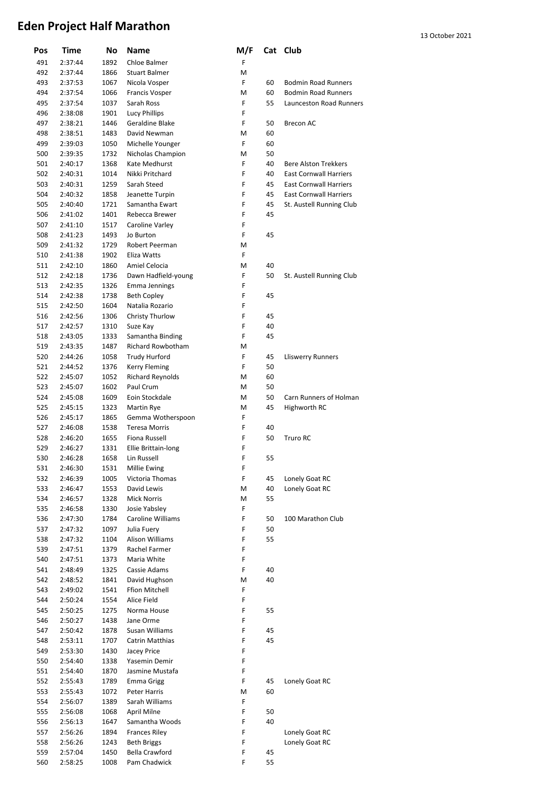| Pos | Time    | No           | <b>Name</b>             | M/F    |    | Cat Club                      |
|-----|---------|--------------|-------------------------|--------|----|-------------------------------|
| 491 | 2:37:44 | 1892         | Chloe Balmer            | F      |    |                               |
| 492 | 2:37:44 | 1866         | <b>Stuart Balmer</b>    | М      |    |                               |
| 493 | 2:37:53 | 1067         | Nicola Vosper           | F      | 60 | <b>Bodmin Road Runners</b>    |
| 494 | 2:37:54 | 1066         | Francis Vosper          | Μ      | 60 | <b>Bodmin Road Runners</b>    |
| 495 | 2:37:54 | 1037         | Sarah Ross              | F      | 55 | Launceston Road Runners       |
| 496 | 2:38:08 | 1901         | <b>Lucy Phillips</b>    | F      |    |                               |
| 497 | 2:38:21 | 1446         | Geraldine Blake         | F      | 50 | <b>Brecon AC</b>              |
| 498 | 2:38:51 | 1483         | David Newman            | Μ      | 60 |                               |
| 499 | 2:39:03 | 1050         | Michelle Younger        | F      | 60 |                               |
| 500 | 2:39:35 | 1732         | Nicholas Champion       | M      | 50 |                               |
| 501 | 2:40:17 | 1368         | Kate Medhurst           | F      | 40 | <b>Bere Alston Trekkers</b>   |
| 502 | 2:40:31 | 1014         | Nikki Pritchard         | F      | 40 | <b>East Cornwall Harriers</b> |
| 503 | 2:40:31 | 1259         | Sarah Steed             | F      | 45 | <b>East Cornwall Harriers</b> |
| 504 | 2:40:32 | 1858         | Jeanette Turpin         | F      | 45 | <b>East Cornwall Harriers</b> |
| 505 | 2:40:40 | 1721         | Samantha Ewart          | F      | 45 | St. Austell Running Club      |
| 506 |         | 1401         | Rebecca Brewer          | F      | 45 |                               |
|     | 2:41:02 |              |                         |        |    |                               |
| 507 | 2:41:10 | 1517         | Caroline Varley         | F<br>F |    |                               |
| 508 | 2:41:23 | 1493<br>1729 | Jo Burton               |        | 45 |                               |
| 509 | 2:41:32 |              | Robert Peerman          | Μ      |    |                               |
| 510 | 2:41:38 | 1902         | Eliza Watts             | F      |    |                               |
| 511 | 2:42:10 | 1860         | Amiel Celocia           | M      | 40 |                               |
| 512 | 2:42:18 | 1736         | Dawn Hadfield-young     | F      | 50 | St. Austell Running Club      |
| 513 | 2:42:35 | 1326         | Emma Jennings           | F      |    |                               |
| 514 | 2:42:38 | 1738         | <b>Beth Copley</b>      | F      | 45 |                               |
| 515 | 2:42:50 | 1604         | Natalia Rozario         | F      |    |                               |
| 516 | 2:42:56 | 1306         | Christy Thurlow         | F      | 45 |                               |
| 517 | 2:42:57 | 1310         | Suze Kay                | F      | 40 |                               |
| 518 | 2:43:05 | 1333         | Samantha Binding        | F      | 45 |                               |
| 519 | 2:43:35 | 1487         | Richard Rowbotham       | Μ      |    |                               |
| 520 | 2:44:26 | 1058         | <b>Trudy Hurford</b>    | F      | 45 | <b>Lliswerry Runners</b>      |
| 521 | 2:44:52 | 1376         | <b>Kerry Fleming</b>    | F      | 50 |                               |
| 522 | 2:45:07 | 1052         | <b>Richard Reynolds</b> | Μ      | 60 |                               |
| 523 | 2:45:07 | 1602         | Paul Crum               | М      | 50 |                               |
| 524 | 2:45:08 | 1609         | Eoin Stockdale          | Μ      | 50 | Carn Runners of Holman        |
| 525 | 2:45:15 | 1323         | Martin Rye              | M      | 45 | Highworth RC                  |
| 526 | 2:45:17 | 1865         | Gemma Wotherspoon       | F      |    |                               |
| 527 | 2:46:08 | 1538         | <b>Teresa Morris</b>    | F      | 40 |                               |
| 528 | 2:46:20 | 1655         | Fiona Russell           | F      | 50 | <b>Truro RC</b>               |
| 529 | 2:46:27 | 1331         | Ellie Brittain-long     | F      |    |                               |
| 530 | 2:46:28 | 1658         | Lin Russell             | F      | 55 |                               |
| 531 | 2:46:30 | 1531         | Millie Ewing            | F      |    |                               |
| 532 | 2:46:39 | 1005         | Victoria Thomas         | F      | 45 | Lonely Goat RC                |
| 533 | 2:46:47 | 1553         | David Lewis             | М      | 40 | Lonely Goat RC                |
| 534 | 2:46:57 | 1328         | <b>Mick Norris</b>      | М      | 55 |                               |
| 535 | 2:46:58 | 1330         | Josie Yabsley           | F      |    |                               |
| 536 | 2:47:30 | 1784         | Caroline Williams       | F      | 50 | 100 Marathon Club             |
| 537 | 2:47:32 | 1097         | Julia Fuery             | F      | 50 |                               |
| 538 | 2:47:32 | 1104         | Alison Williams         | F      | 55 |                               |
| 539 | 2:47:51 | 1379         | Rachel Farmer           | F      |    |                               |
| 540 | 2:47:51 | 1373         | Maria White             | F      |    |                               |
| 541 | 2:48:49 | 1325         | Cassie Adams            | F      | 40 |                               |
| 542 | 2:48:52 | 1841         | David Hughson           | М      | 40 |                               |
| 543 | 2:49:02 | 1541         | Ffion Mitchell          | F      |    |                               |
| 544 | 2:50:24 | 1554         | Alice Field             | F      |    |                               |
| 545 |         | 1275         |                         | F      | 55 |                               |
|     | 2:50:25 |              | Norma House             | F      |    |                               |
| 546 | 2:50:27 | 1438         | Jane Orme               |        |    |                               |
| 547 | 2:50:42 | 1878         | Susan Williams          | F      | 45 |                               |
| 548 | 2:53:11 | 1707         | Catrin Matthias         | F      | 45 |                               |
| 549 | 2:53:30 | 1430         | Jacey Price             | F      |    |                               |
| 550 | 2:54:40 | 1338         | Yasemin Demir           | F      |    |                               |
| 551 | 2:54:40 | 1870         | Jasmine Mustafa         | F      |    |                               |
| 552 | 2:55:43 | 1789         | <b>Emma Grigg</b>       | F      | 45 | Lonely Goat RC                |
| 553 | 2:55:43 | 1072         | Peter Harris            | М      | 60 |                               |
| 554 | 2:56:07 | 1389         | Sarah Williams          | F      |    |                               |
| 555 | 2:56:08 | 1068         | April Milne             | F      | 50 |                               |
| 556 | 2:56:13 | 1647         | Samantha Woods          | F      | 40 |                               |
| 557 | 2:56:26 | 1894         | <b>Frances Riley</b>    | F      |    | Lonely Goat RC                |
| 558 | 2:56:26 | 1243         | <b>Beth Briggs</b>      | F      |    | Lonely Goat RC                |
| 559 | 2:57:04 | 1450         | <b>Bella Crawford</b>   | F      | 45 |                               |
| 560 | 2:58:25 | 1008         | Pam Chadwick            | F      | 55 |                               |